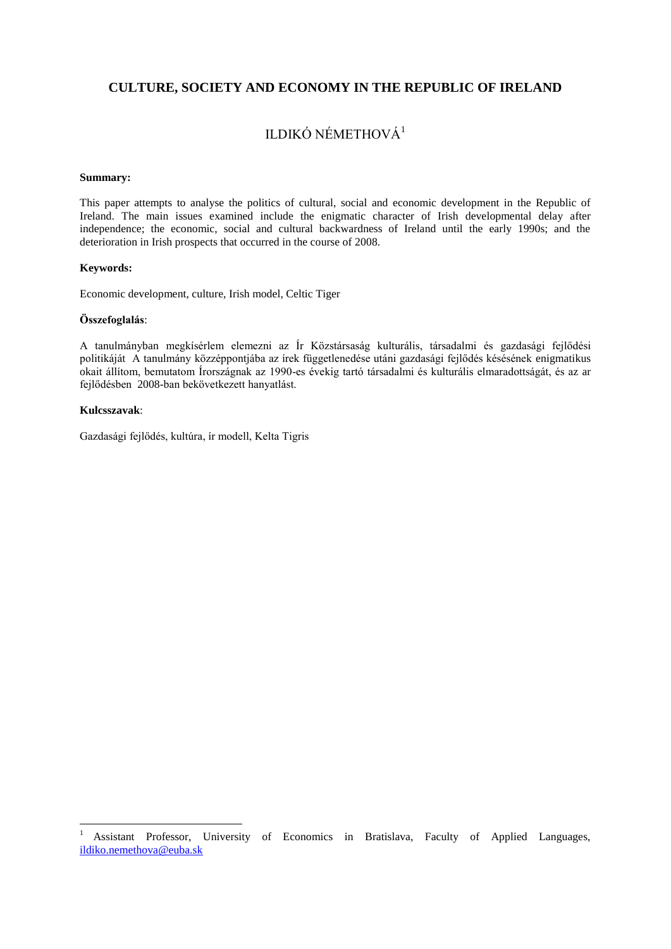## **CULTURE, SOCIETY AND ECONOMY IN THE REPUBLIC OF IRELAND**

# ILDIKÓ NÉMETHOVÁ<sup>1</sup>

#### **Summary:**

This paper attempts to analyse the politics of cultural, social and economic development in the Republic of Ireland. The main issues examined include the enigmatic character of Irish developmental delay after independence; the economic, social and cultural backwardness of Ireland until the early 1990s; and the deterioration in Irish prospects that occurred in the course of 2008.

### **Keywords:**

Economic development, culture, Irish model, Celtic Tiger

#### **Összefoglalás**:

A tanulmányban megkísérlem elemezni az Ír Közstársaság kulturális, társadalmi és gazdasági fejlődési politikáját A tanulmány közzéppontjába az írek függetlenedése utáni gazdasági fejlődés késésének enigmatikus okait állítom, bemutatom Írországnak az 1990-es évekig tartó társadalmi és kulturális elmaradottságát, és az ar fejlődésben 2008-ban bekövetkezett hanyatlást.

#### **Kulcsszavak**:

1

Gazdasági fejlődés, kultúra, ír modell, Kelta Tigris

<sup>&</sup>lt;sup>1</sup> Assistant Professor, University of Economics in Bratislava, Faculty of Applied Languages, [ildiko.nemethova@euba.sk](mailto:ildiko.nemethova@euba.sk)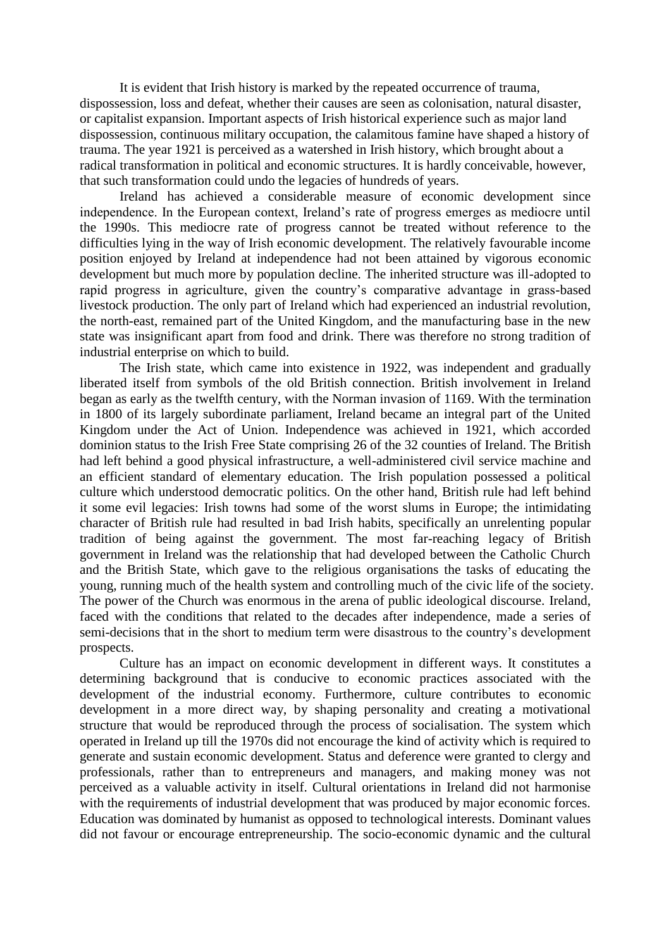It is evident that Irish history is marked by the repeated occurrence of trauma, dispossession, loss and defeat, whether their causes are seen as colonisation, natural disaster, or capitalist expansion. Important aspects of Irish historical experience such as major land dispossession, continuous military occupation, the calamitous famine have shaped a history of trauma. The year 1921 is perceived as a watershed in Irish history, which brought about a radical transformation in political and economic structures. It is hardly conceivable, however, that such transformation could undo the legacies of hundreds of years.

Ireland has achieved a considerable measure of economic development since independence. In the European context, Ireland's rate of progress emerges as mediocre until the 1990s. This mediocre rate of progress cannot be treated without reference to the difficulties lying in the way of Irish economic development. The relatively favourable income position enjoyed by Ireland at independence had not been attained by vigorous economic development but much more by population decline. The inherited structure was ill-adopted to rapid progress in agriculture, given the country's comparative advantage in grass-based livestock production. The only part of Ireland which had experienced an industrial revolution, the north-east, remained part of the United Kingdom, and the manufacturing base in the new state was insignificant apart from food and drink. There was therefore no strong tradition of industrial enterprise on which to build.

The Irish state, which came into existence in 1922, was independent and gradually liberated itself from symbols of the old British connection. British involvement in Ireland began as early as the twelfth century, with the Norman invasion of 1169. With the termination in 1800 of its largely subordinate parliament, Ireland became an integral part of the United Kingdom under the Act of Union. Independence was achieved in 1921, which accorded dominion status to the Irish Free State comprising 26 of the 32 counties of Ireland. The British had left behind a good physical infrastructure, a well-administered civil service machine and an efficient standard of elementary education. The Irish population possessed a political culture which understood democratic politics. On the other hand, British rule had left behind it some evil legacies: Irish towns had some of the worst slums in Europe; the intimidating character of British rule had resulted in bad Irish habits, specifically an unrelenting popular tradition of being against the government. The most far-reaching legacy of British government in Ireland was the relationship that had developed between the Catholic Church and the British State, which gave to the religious organisations the tasks of educating the young, running much of the health system and controlling much of the civic life of the society. The power of the Church was enormous in the arena of public ideological discourse. Ireland, faced with the conditions that related to the decades after independence, made a series of semi-decisions that in the short to medium term were disastrous to the country's development prospects.

Culture has an impact on economic development in different ways. It constitutes a determining background that is conducive to economic practices associated with the development of the industrial economy. Furthermore, culture contributes to economic development in a more direct way, by shaping personality and creating a motivational structure that would be reproduced through the process of socialisation. The system which operated in Ireland up till the 1970s did not encourage the kind of activity which is required to generate and sustain economic development. Status and deference were granted to clergy and professionals, rather than to entrepreneurs and managers, and making money was not perceived as a valuable activity in itself. Cultural orientations in Ireland did not harmonise with the requirements of industrial development that was produced by major economic forces. Education was dominated by humanist as opposed to technological interests. Dominant values did not favour or encourage entrepreneurship. The socio-economic dynamic and the cultural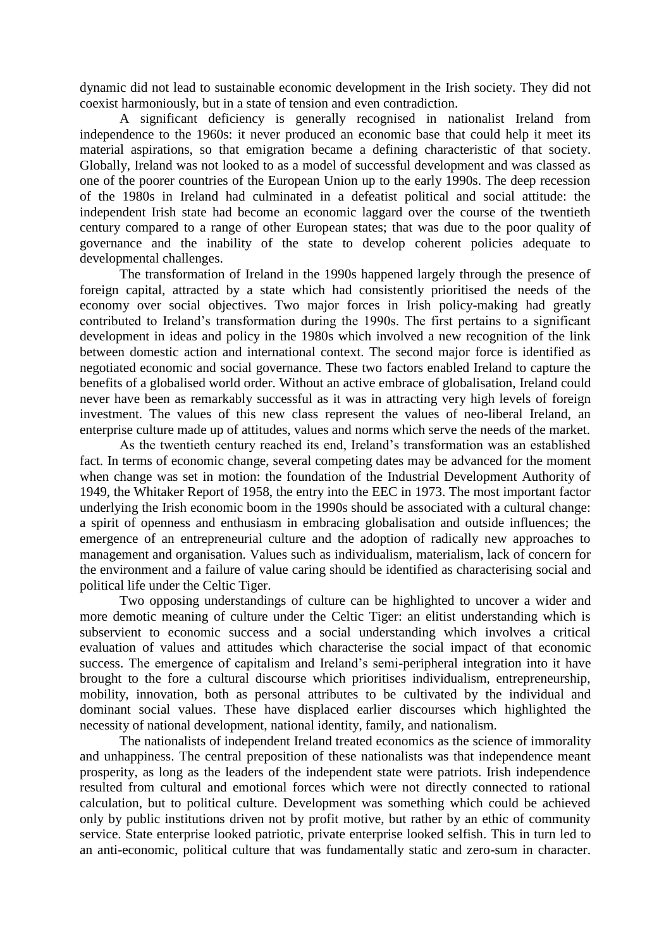dynamic did not lead to sustainable economic development in the Irish society. They did not coexist harmoniously, but in a state of tension and even contradiction.

A significant deficiency is generally recognised in nationalist Ireland from independence to the 1960s: it never produced an economic base that could help it meet its material aspirations, so that emigration became a defining characteristic of that society. Globally, Ireland was not looked to as a model of successful development and was classed as one of the poorer countries of the European Union up to the early 1990s. The deep recession of the 1980s in Ireland had culminated in a defeatist political and social attitude: the independent Irish state had become an economic laggard over the course of the twentieth century compared to a range of other European states; that was due to the poor quality of governance and the inability of the state to develop coherent policies adequate to developmental challenges.

The transformation of Ireland in the 1990s happened largely through the presence of foreign capital, attracted by a state which had consistently prioritised the needs of the economy over social objectives. Two major forces in Irish policy-making had greatly contributed to Ireland's transformation during the 1990s. The first pertains to a significant development in ideas and policy in the 1980s which involved a new recognition of the link between domestic action and international context. The second major force is identified as negotiated economic and social governance. These two factors enabled Ireland to capture the benefits of a globalised world order. Without an active embrace of globalisation, Ireland could never have been as remarkably successful as it was in attracting very high levels of foreign investment. The values of this new class represent the values of neo-liberal Ireland, an enterprise culture made up of attitudes, values and norms which serve the needs of the market.

As the twentieth century reached its end, Ireland's transformation was an established fact. In terms of economic change, several competing dates may be advanced for the moment when change was set in motion: the foundation of the Industrial Development Authority of 1949, the Whitaker Report of 1958, the entry into the EEC in 1973. The most important factor underlying the Irish economic boom in the 1990s should be associated with a cultural change: a spirit of openness and enthusiasm in embracing globalisation and outside influences; the emergence of an entrepreneurial culture and the adoption of radically new approaches to management and organisation. Values such as individualism, materialism, lack of concern for the environment and a failure of value caring should be identified as characterising social and political life under the Celtic Tiger.

Two opposing understandings of culture can be highlighted to uncover a wider and more demotic meaning of culture under the Celtic Tiger: an elitist understanding which is subservient to economic success and a social understanding which involves a critical evaluation of values and attitudes which characterise the social impact of that economic success. The emergence of capitalism and Ireland's semi-peripheral integration into it have brought to the fore a cultural discourse which prioritises individualism, entrepreneurship, mobility, innovation, both as personal attributes to be cultivated by the individual and dominant social values. These have displaced earlier discourses which highlighted the necessity of national development, national identity, family, and nationalism.

The nationalists of independent Ireland treated economics as the science of immorality and unhappiness. The central preposition of these nationalists was that independence meant prosperity, as long as the leaders of the independent state were patriots. Irish independence resulted from cultural and emotional forces which were not directly connected to rational calculation, but to political culture. Development was something which could be achieved only by public institutions driven not by profit motive, but rather by an ethic of community service. State enterprise looked patriotic, private enterprise looked selfish. This in turn led to an anti-economic, political culture that was fundamentally static and zero-sum in character.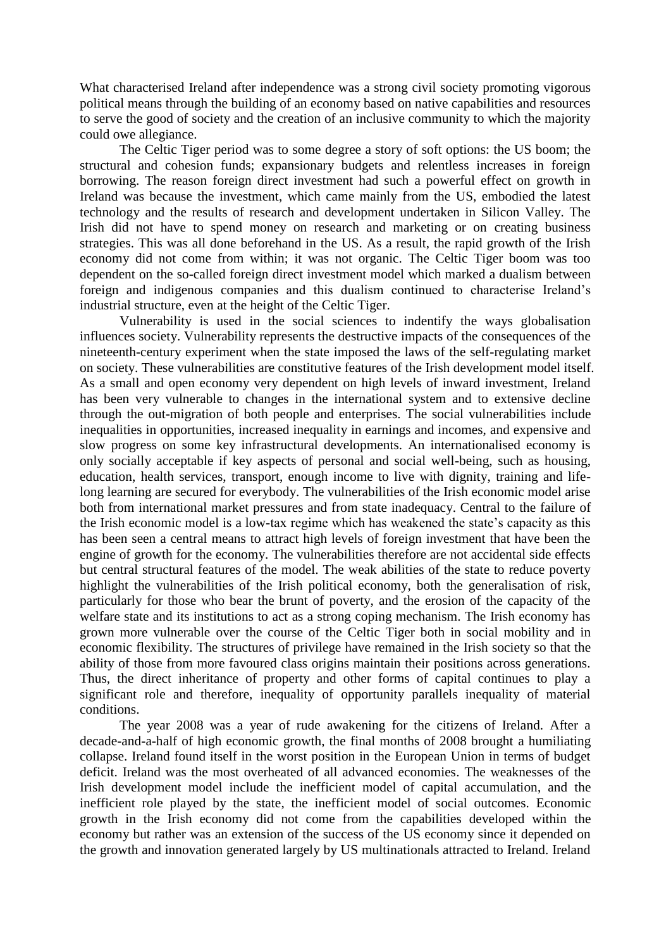What characterised Ireland after independence was a strong civil society promoting vigorous political means through the building of an economy based on native capabilities and resources to serve the good of society and the creation of an inclusive community to which the majority could owe allegiance.

The Celtic Tiger period was to some degree a story of soft options: the US boom; the structural and cohesion funds; expansionary budgets and relentless increases in foreign borrowing. The reason foreign direct investment had such a powerful effect on growth in Ireland was because the investment, which came mainly from the US, embodied the latest technology and the results of research and development undertaken in Silicon Valley. The Irish did not have to spend money on research and marketing or on creating business strategies. This was all done beforehand in the US. As a result, the rapid growth of the Irish economy did not come from within; it was not organic. The Celtic Tiger boom was too dependent on the so-called foreign direct investment model which marked a dualism between foreign and indigenous companies and this dualism continued to characterise Ireland's industrial structure, even at the height of the Celtic Tiger.

Vulnerability is used in the social sciences to indentify the ways globalisation influences society. Vulnerability represents the destructive impacts of the consequences of the nineteenth-century experiment when the state imposed the laws of the self-regulating market on society. These vulnerabilities are constitutive features of the Irish development model itself. As a small and open economy very dependent on high levels of inward investment, Ireland has been very vulnerable to changes in the international system and to extensive decline through the out-migration of both people and enterprises. The social vulnerabilities include inequalities in opportunities, increased inequality in earnings and incomes, and expensive and slow progress on some key infrastructural developments. An internationalised economy is only socially acceptable if key aspects of personal and social well-being, such as housing, education, health services, transport, enough income to live with dignity, training and lifelong learning are secured for everybody. The vulnerabilities of the Irish economic model arise both from international market pressures and from state inadequacy. Central to the failure of the Irish economic model is a low-tax regime which has weakened the state's capacity as this has been seen a central means to attract high levels of foreign investment that have been the engine of growth for the economy. The vulnerabilities therefore are not accidental side effects but central structural features of the model. The weak abilities of the state to reduce poverty highlight the vulnerabilities of the Irish political economy, both the generalisation of risk, particularly for those who bear the brunt of poverty, and the erosion of the capacity of the welfare state and its institutions to act as a strong coping mechanism. The Irish economy has grown more vulnerable over the course of the Celtic Tiger both in social mobility and in economic flexibility. The structures of privilege have remained in the Irish society so that the ability of those from more favoured class origins maintain their positions across generations. Thus, the direct inheritance of property and other forms of capital continues to play a significant role and therefore, inequality of opportunity parallels inequality of material conditions.

The year 2008 was a year of rude awakening for the citizens of Ireland. After a decade-and-a-half of high economic growth, the final months of 2008 brought a humiliating collapse. Ireland found itself in the worst position in the European Union in terms of budget deficit. Ireland was the most overheated of all advanced economies. The weaknesses of the Irish development model include the inefficient model of capital accumulation, and the inefficient role played by the state, the inefficient model of social outcomes. Economic growth in the Irish economy did not come from the capabilities developed within the economy but rather was an extension of the success of the US economy since it depended on the growth and innovation generated largely by US multinationals attracted to Ireland. Ireland